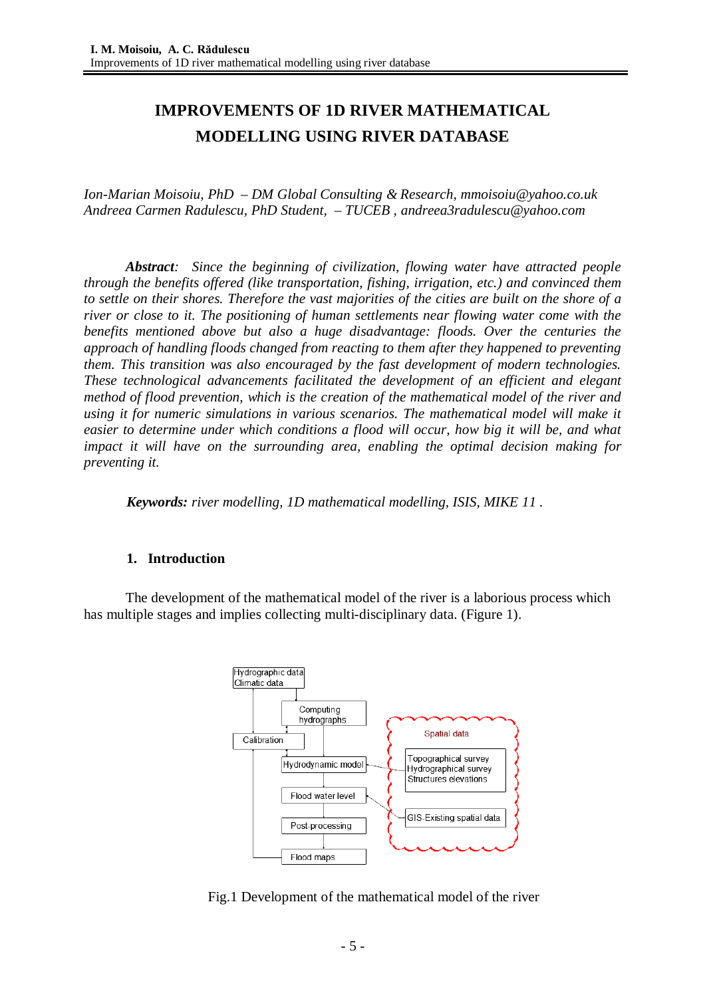# **IMPROVEMENTS OF 1D RIVER MATHEMATICAL MODELLING USING RIVER DATABASE**

*Ion-Marian Moisoiu, PhD – DM Global Consulting & Research, [mmoisoiu@yahoo.co.uk](mailto:mmoisoiu@yahoo.co.uk) Andreea Carmen Radulescu, PhD Student, – TUCEB , [andreea3radulescu@yahoo.com](mailto:andreea3radulescu@yahoo.com)*

*Abstract: Since the beginning of civilization, flowing water have attracted people through the benefits offered (like transportation, fishing, irrigation, etc.) and convinced them* to settle on their shores. Therefore the vast majorities of the cities are built on the shore of a *river or close to it. The positioning of human settlements near flowing water come with the benefits mentioned above but also a huge disadvantage: floods. Over the centuries the approach of handling floods changed from reacting to them after they happened to preventing them. This transition was also encouraged by the fast development of modern technologies. These technological advancements facilitated the development of an efficient and elegant method of flood prevention, which is the creation of the mathematical model of the river and using it for numeric simulations in various scenarios. The mathematical model will make it easier to determine under which conditions a flood will occur, how big it will be, and what impact it will have on the surrounding area, enabling the optimal decision making for preventing it.*

*Keywords: river modelling, 1D mathematical modelling, ISIS, MIKE 11 .*

### **1. Introduction**

The development of the mathematical model of the river is a laborious process which has multiple stages and implies collecting multi-disciplinary data. (Figure 1).



Fig.1 Development of the mathematical model of the river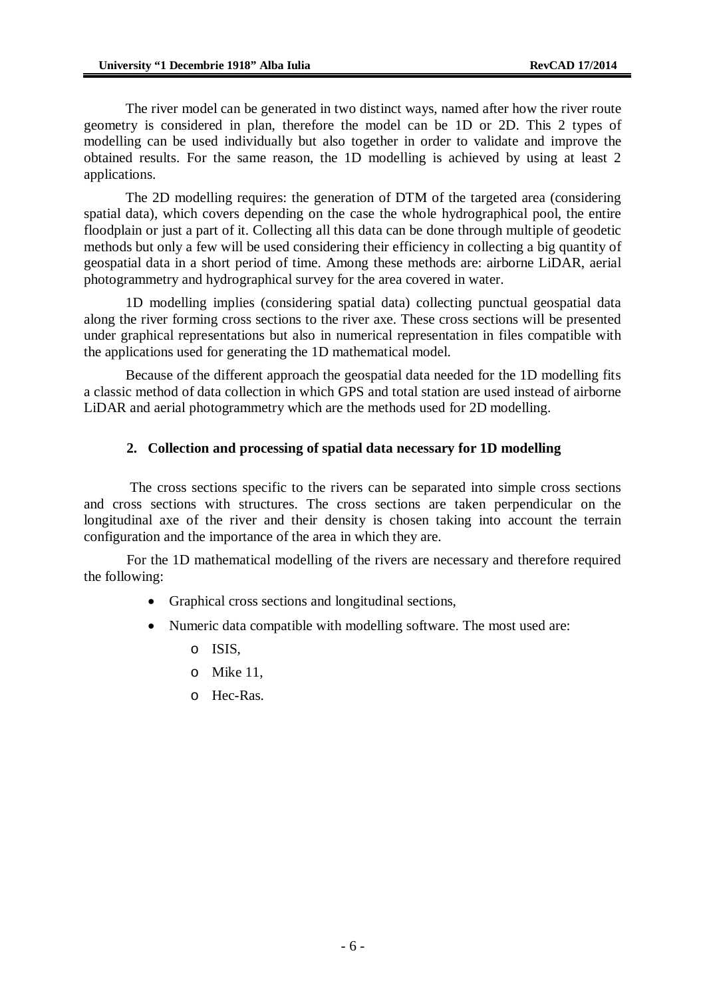The river model can be generated in two distinct ways, named after how the river route geometry is considered in plan, therefore the model can be 1D or 2D. This 2 types of modelling can be used individually but also together in order to validate and improve the obtained results. For the same reason, the 1D modelling is achieved by using at least 2 applications.

The 2D modelling requires: the generation of DTM of the targeted area (considering spatial data), which covers depending on the case the whole hydrographical pool, the entire floodplain or just a part of it. Collecting all this data can be done through multiple of geodetic methods but only a few will be used considering their efficiency in collecting a big quantity of geospatial data in a short period of time. Among these methods are: airborne LiDAR, aerial photogrammetry and hydrographical survey for the area covered in water.

1D modelling implies (considering spatial data) collecting punctual geospatial data along the river forming cross sections to the river axe. These cross sections will be presented under graphical representations but also in numerical representation in files compatible with the applications used for generating the 1D mathematical model.

Because of the different approach the geospatial data needed for the 1D modelling fits a classic method of data collection in which GPS and total station are used instead of airborne LiDAR and aerial photogrammetry which are the methods used for 2D modelling.

### **2. Collection and processing of spatial data necessary for 1D modelling**

The cross sections specific to the rivers can be separated into simple cross sections and cross sections with structures. The cross sections are taken perpendicular on the longitudinal axe of the river and their density is chosen taking into account the terrain configuration and the importance of the area in which they are.

For the 1D mathematical modelling of the rivers are necessary and therefore required the following:

- Graphical cross sections and longitudinal sections,
- Numeric data compatible with modelling software. The most used are:
	- o ISIS,
	- o Mike 11,
	- o Hec-Ras.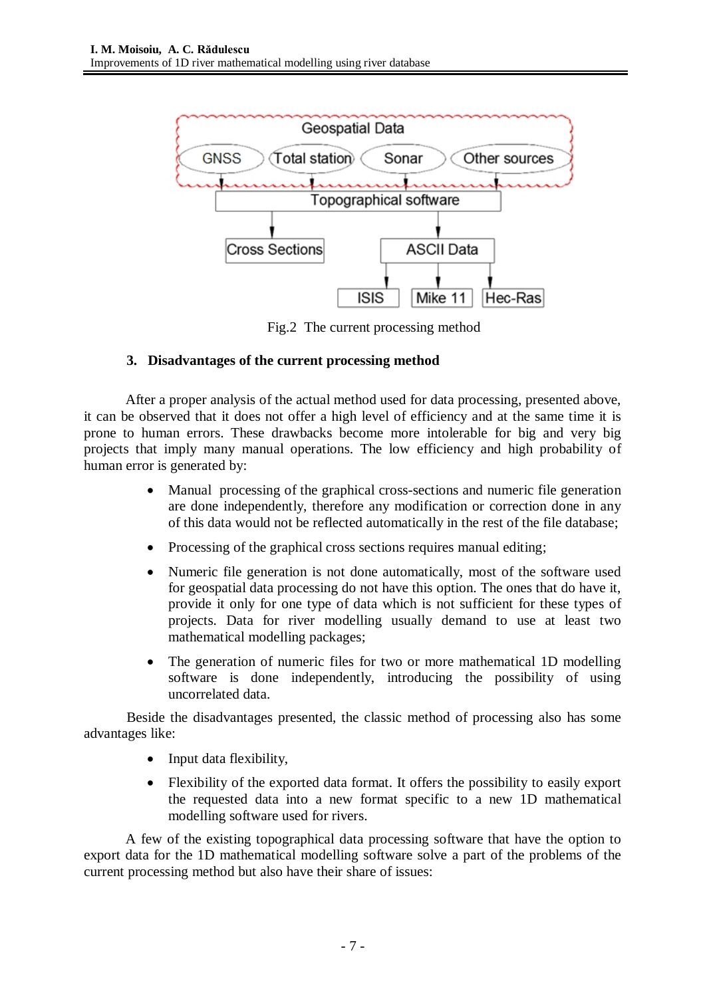

Fig.2 The current processing method

# **3. Disadvantages of the current processing method**

After a proper analysis of the actual method used for data processing, presented above, it can be observed that it does not offer a high level of efficiency and at the same time it is prone to human errors. These drawbacks become more intolerable for big and very big projects that imply many manual operations. The low efficiency and high probability of human error is generated by:

- Manual processing of the graphical cross-sections and numeric file generation are done independently, therefore any modification or correction done in any of this data would not be reflected automatically in the rest of the file database;
- Processing of the graphical cross sections requires manual editing;
- Numeric file generation is not done automatically, most of the software used for geospatial data processing do not have this option. The ones that do have it, provide it only for one type of data which is not sufficient for these types of projects. Data for river modelling usually demand to use at least two mathematical modelling packages;
- The generation of numeric files for two or more mathematical 1D modelling software is done independently, introducing the possibility of using uncorrelated data.

Beside the disadvantages presented, the classic method of processing also has some advantages like:

- Input data flexibility,
- Flexibility of the exported data format. It offers the possibility to easily export the requested data into a new format specific to a new 1D mathematical modelling software used for rivers.

A few of the existing topographical data processing software that have the option to export data for the 1D mathematical modelling software solve a part of the problems of the current processing method but also have their share of issues: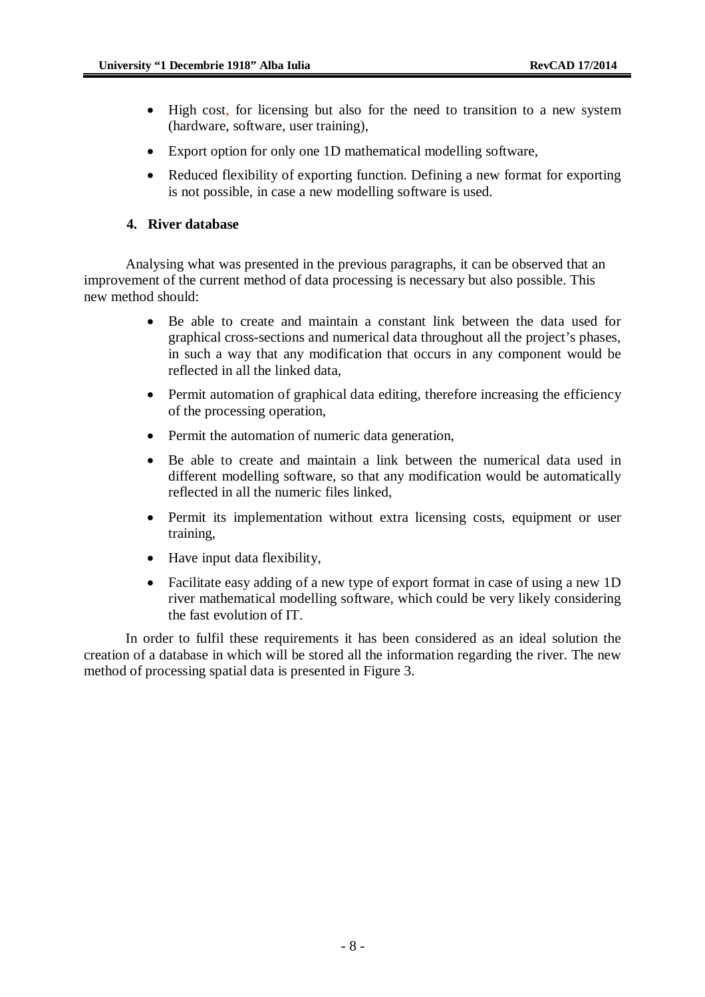- High cost, for licensing but also for the need to transition to a new system (hardware, software, user training),
- Export option for only one 1D mathematical modelling software,
- Reduced flexibility of exporting function. Defining a new format for exporting is not possible, in case a new modelling software is used.

### **4. River database**

Analysing what was presented in the previous paragraphs, it can be observed that an improvement of the current method of data processing is necessary but also possible. This new method should:

- Be able to create and maintain a constant link between the data used for graphical cross-sections and numerical data throughout all the project's phases, in such a way that any modification that occurs in any component would be reflected in all the linked data,
- Permit automation of graphical data editing, therefore increasing the efficiency of the processing operation,
- Permit the automation of numeric data generation,
- Be able to create and maintain a link between the numerical data used in different modelling software, so that any modification would be automatically reflected in all the numeric files linked,
- Permit its implementation without extra licensing costs, equipment or user training,
- Have input data flexibility,
- Facilitate easy adding of a new type of export format in case of using a new 1D river mathematical modelling software, which could be very likely considering the fast evolution of IT.

In order to fulfil these requirements it has been considered as an ideal solution the creation of a database in which will be stored all the information regarding the river. The new method of processing spatial data is presented in Figure 3.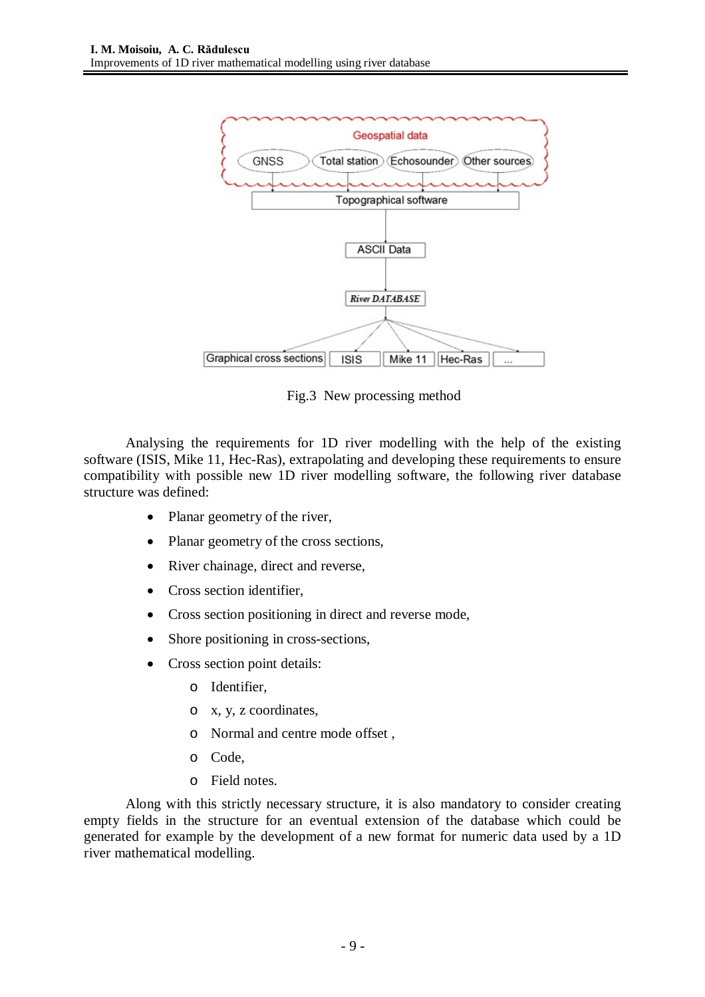

Fig.3 New processing method

Analysing the requirements for 1D river modelling with the help of the existing software (ISIS, Mike 11, Hec-Ras), extrapolating and developing these requirements to ensure compatibility with possible new 1D river modelling software, the following river database structure was defined:

- Planar geometry of the river,
- Planar geometry of the cross sections,
- River chainage, direct and reverse,
- Cross section identifier.
- Cross section positioning in direct and reverse mode,
- Shore positioning in cross-sections,
- Cross section point details:
	- o Identifier,
	- o x, y, z coordinates,
	- o Normal and centre mode offset ,
	- o Code,
	- o Field notes.

Along with this strictly necessary structure, it is also mandatory to consider creating empty fields in the structure for an eventual extension of the database which could be generated for example by the development of a new format for numeric data used by a 1D river mathematical modelling.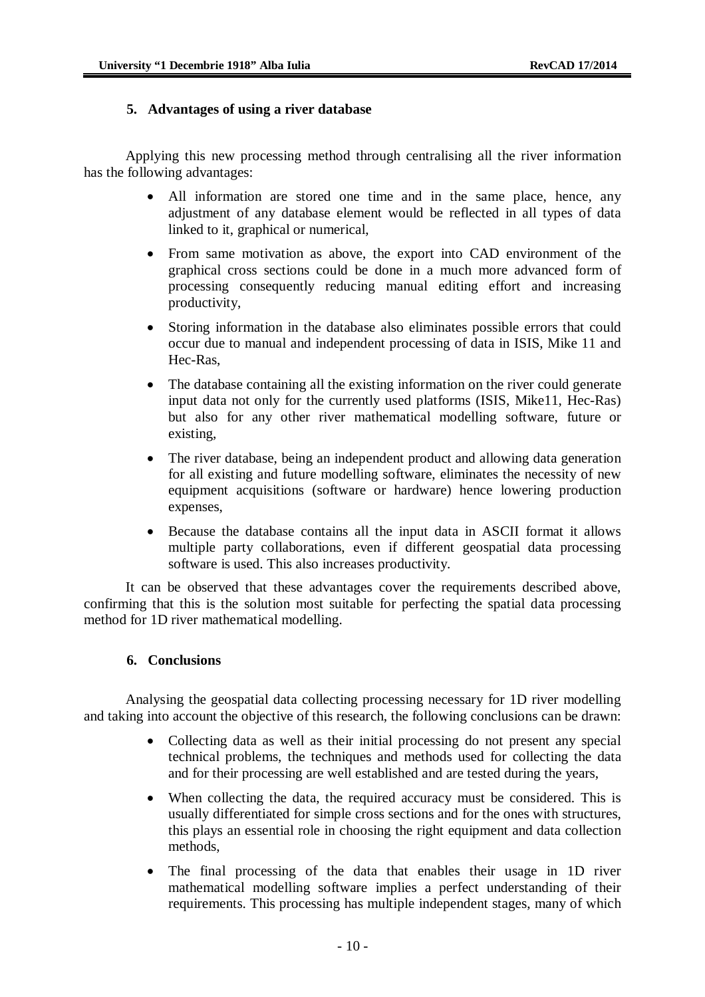### **5. Advantages of using a river database**

Applying this new processing method through centralising all the river information has the following advantages:

- All information are stored one time and in the same place, hence, any adjustment of any database element would be reflected in all types of data linked to it, graphical or numerical,
- From same motivation as above, the export into CAD environment of the graphical cross sections could be done in a much more advanced form of processing consequently reducing manual editing effort and increasing productivity,
- Storing information in the database also eliminates possible errors that could occur due to manual and independent processing of data in ISIS, Mike 11 and Hec-Ras,
- The database containing all the existing information on the river could generate input data not only for the currently used platforms (ISIS, Mike11, Hec-Ras) but also for any other river mathematical modelling software, future or existing,
- The river database, being an independent product and allowing data generation for all existing and future modelling software, eliminates the necessity of new equipment acquisitions (software or hardware) hence lowering production expenses,
- Because the database contains all the input data in ASCII format it allows multiple party collaborations, even if different geospatial data processing software is used. This also increases productivity.

It can be observed that these advantages cover the requirements described above, confirming that this is the solution most suitable for perfecting the spatial data processing method for 1D river mathematical modelling.

### **6. Conclusions**

Analysing the geospatial data collecting processing necessary for 1D river modelling and taking into account the objective of this research, the following conclusions can be drawn:

- Collecting data as well as their initial processing do not present any special technical problems, the techniques and methods used for collecting the data and for their processing are well established and are tested during the years,
- When collecting the data, the required accuracy must be considered. This is usually differentiated for simple cross sections and for the ones with structures, this plays an essential role in choosing the right equipment and data collection methods,
- The final processing of the data that enables their usage in 1D river mathematical modelling software implies a perfect understanding of their requirements. This processing has multiple independent stages, many of which